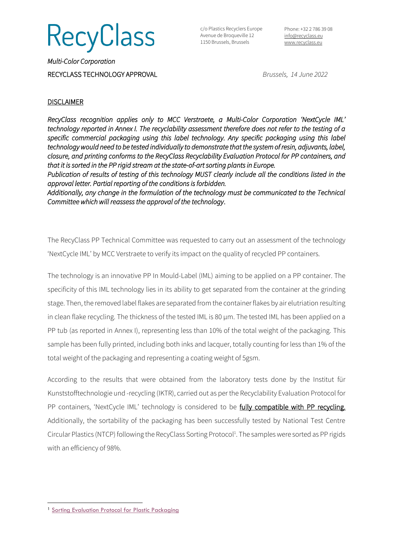

c/o Plastics Recyclers Europe Avenue de Broqueville 12 1150 Brussels, Brussels

*Multi-Color Corporation*  RECYCLASS TECHNOLOGY APPROVAL *Brussels, 14 June 2022*

## **DISCLAIMER**

*RecyClass recognition applies only to MCC Verstraete, a Multi-Color Corporation 'NextCycle IML' technology reported in Annex I. The recyclability assessment therefore does not refer to the testing of a specific commercial packaging using this label technology. Any specific packaging using this label technology would need to be tested individually to demonstrate that the system of resin, adjuvants, label, closure, and printing conforms to the RecyClass Recyclability Evaluation Protocol for PP containers, and that it is sorted in the PP rigid stream at the state-of-art sorting plants in Europe.* 

*Publication of results of testing of this technology MUST clearly include all the conditions listed in the approval letter. Partial reporting of the conditions is forbidden.* 

*Additionally, any change in the formulation of the technology must be communicated to the Technical Committee which will reassess the approval of the technology*.

The RecyClass PP Technical Committee was requested to carry out an assessment of the technology 'NextCycle IML' by MCC Verstraete to verify its impact on the quality of recycled PP containers.

The technology is an innovative PP In Mould-Label (IML) aiming to be applied on a PP container. The specificity of this IML technology lies in its ability to get separated from the container at the grinding stage. Then, the removed label flakes are separated from the container flakes by air elutriation resulting in clean flake recycling. The thickness of the tested IML is 80 µm. The tested IML has been applied on a PP tub (as reported in Annex I), representing less than 10% of the total weight of the packaging. This sample has been fully printed, including both inks and lacquer, totally counting for less than 1% of the total weight of the packaging and representing a coating weight of 5gsm.

According to the results that were obtained from the laboratory tests done by the Institut für Kunststofftechnologie und -recycling (IKTR), carried out as per the Recyclability Evaluation Protocol for PP containers, 'NextCycle IML' technology is considered to be fully compatible with PP recycling. Additionally, the sortability of the packaging has been successfully tested by National Test Centre Circular Plastics (NTCP) following the RecyClass Sorting Protocol<sup>1</sup>. The samples were sorted as PP rigids with an efficiency of 98%.

<sup>1</sup> [Sorting Evaluation Protocol for Plastic Packaging](https://recyclass.eu/recyclability/test-methods/)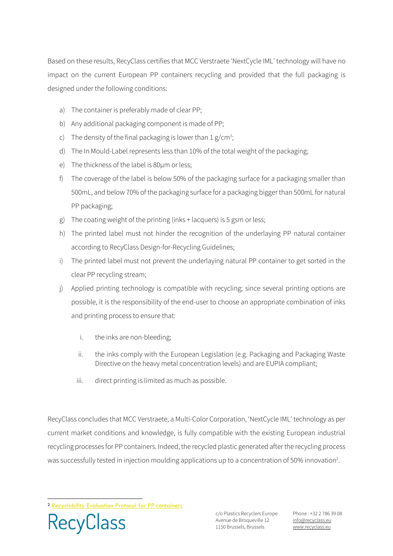Based on these results, RecyClass certifies that MCC Verstraete 'NextCycle IML' technology will have no impact on the current European PP containers recycling and provided that the full packaging is designed under the following conditions:

- a) The container is preferably made of clear PP;
- b) Any additional packaging component is made of PP;
- c) The density of the final packaging is lower than  $1 g/cm^3$ ;
- d) The In Mould-Label represents less than 10% of the total weight of the packaging;
- e) The thickness of the label is 80µm or less;
- f) The coverage of the label is below 50% of the packaging surface for a packaging smaller than 500mL, and below 70% of the packaging surface for a packaging bigger than 500mL for natural PP packaging;
- g) The coating weight of the printing (inks + lacquers) is 5 gsm or less;
- h) The printed label must not hinder the recognition of the underlaying PP natural container according to RecyClass Design-for-Recycling Guidelines;
- i) The printed label must not prevent the underlaying natural PP container to get sorted in the clear PP recycling stream;
- j) Applied printing technology is compatible with recycling; since several printing options are possible, it is the responsibility of the end-user to choose an appropriate combination of inks and printing process to ensure that:
	- i. the inks are non-bleeding;
	- ii. the inks comply with the European Legislation (e.g. Packaging and Packaging Waste Directive on the heavy metal concentration levels) and are EUPIA compliant;
	- iii. direct printing is limited as much as possible.

RecyClass concludes that MCC Verstraete, a Multi-Color Corporation, 'NextCycle IML' technology as per current market conditions and knowledge, is fully compatible with the existing European industrial recycling processes for PP containers. Indeed, the recycled plastic generated after the recycling process was successfully tested in injection moulding applications up to a concentration of 50% innovation<sup>2</sup>.

**RecyClass** 

c/o Plastics Recyclers Europe Avenue de Broqueville 12 1150 Brussels, Brussels

Phone : +32 2 786 39 08 info[@recyclass.eu](mailto:recyclass@plasticsrecyclers.eu) www.recyclass.eu

<sup>2</sup> [Recyclability Evaluation Protocol for PP containers](https://recyclass.eu/recyclability/test-methods/)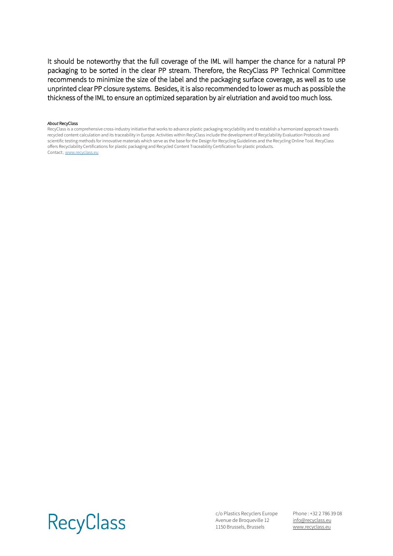It should be noteworthy that the full coverage of the IML will hamper the chance for a natural PP packaging to be sorted in the clear PP stream. Therefore, the RecyClass PP Technical Committee recommends to minimize the size of the label and the packaging surface coverage, as well as to use unprinted clear PP closure systems. Besides, it is also recommended to lower as much as possible the thickness of the IML to ensure an optimized separation by air elutriation and avoid too much loss.

## *About* RecyClass

RecyClass is a comprehensive cross-industry initiative that works to advance plastic packaging recyclability and to establish a harmonized approach towards recycled content calculation and its traceability in Europe. Activities within RecyClass include the development of Recyclability Evaluation Protocols and scientific testing methods for innovative materials which serve as the base for the Design for Recycling Guidelines and the Recycling Online Tool. RecyClass offers Recyclability Certifications for plastic packaging and Recycled Content Traceability Certification for plastic products. Contact:[, www.recyclass.eu](http://www.recyclass.eu/)



c/o Plastics Recyclers Europe Avenue de Broqueville 12 1150 Brussels, Brussels

Phone : +32 2 786 39 08 info[@recyclass.eu](mailto:recyclass@plasticsrecyclers.eu) www.recyclass.eu